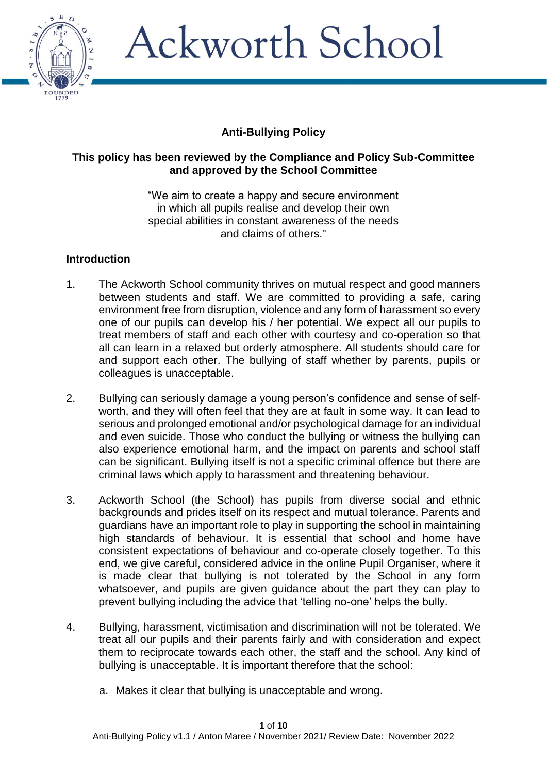

## **Anti-Bullying Policy**

#### **This policy has been reviewed by the Compliance and Policy Sub-Committee and approved by the School Committee**

"We aim to create a happy and secure environment in which all pupils realise and develop their own special abilities in constant awareness of the needs and claims of others."

### **Introduction**

- 1. The Ackworth School community thrives on mutual respect and good manners between students and staff. We are committed to providing a safe, caring environment free from disruption, violence and any form of harassment so every one of our pupils can develop his / her potential. We expect all our pupils to treat members of staff and each other with courtesy and co-operation so that all can learn in a relaxed but orderly atmosphere. All students should care for and support each other. The bullying of staff whether by parents, pupils or colleagues is unacceptable.
- 2. Bullying can seriously damage a young person's confidence and sense of selfworth, and they will often feel that they are at fault in some way. It can lead to serious and prolonged emotional and/or psychological damage for an individual and even suicide. Those who conduct the bullying or witness the bullying can also experience emotional harm, and the impact on parents and school staff can be significant. Bullying itself is not a specific criminal offence but there are criminal laws which apply to harassment and threatening behaviour.
- 3. Ackworth School (the School) has pupils from diverse social and ethnic backgrounds and prides itself on its respect and mutual tolerance. Parents and guardians have an important role to play in supporting the school in maintaining high standards of behaviour. It is essential that school and home have consistent expectations of behaviour and co-operate closely together. To this end, we give careful, considered advice in the online Pupil Organiser, where it is made clear that bullying is not tolerated by the School in any form whatsoever, and pupils are given guidance about the part they can play to prevent bullying including the advice that 'telling no-one' helps the bully.
- 4. Bullying, harassment, victimisation and discrimination will not be tolerated. We treat all our pupils and their parents fairly and with consideration and expect them to reciprocate towards each other, the staff and the school. Any kind of bullying is unacceptable. It is important therefore that the school:
	- a. Makes it clear that bullying is unacceptable and wrong.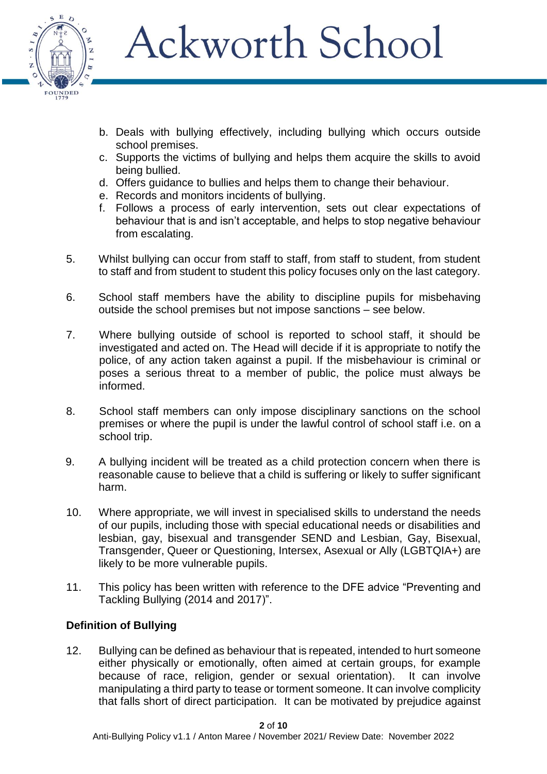

- b. Deals with bullying effectively, including bullying which occurs outside school premises.
- c. Supports the victims of bullying and helps them acquire the skills to avoid being bullied.
- d. Offers guidance to bullies and helps them to change their behaviour.
- e. Records and monitors incidents of bullying.
- f. Follows a process of early intervention, sets out clear expectations of behaviour that is and isn't acceptable, and helps to stop negative behaviour from escalating.
- 5. Whilst bullying can occur from staff to staff, from staff to student, from student to staff and from student to student this policy focuses only on the last category.
- 6. School staff members have the ability to discipline pupils for misbehaving outside the school premises but not impose sanctions – see below.
- 7. Where bullying outside of school is reported to school staff, it should be investigated and acted on. The Head will decide if it is appropriate to notify the police, of any action taken against a pupil. If the misbehaviour is criminal or poses a serious threat to a member of public, the police must always be informed.
- 8. School staff members can only impose disciplinary sanctions on the school premises or where the pupil is under the lawful control of school staff i.e. on a school trip.
- 9. A bullying incident will be treated as a child protection concern when there is reasonable cause to believe that a child is suffering or likely to suffer significant harm.
- 10. Where appropriate, we will invest in specialised skills to understand the needs of our pupils, including those with special educational needs or disabilities and lesbian, gay, bisexual and transgender SEND and Lesbian, Gay, Bisexual, Transgender, Queer or Questioning, Intersex, Asexual or Ally (LGBTQIA+) are likely to be more vulnerable pupils.
- 11. This policy has been written with reference to the DFE advice "Preventing and Tackling Bullying (2014 and 2017)".

## **Definition of Bullying**

12. Bullying can be defined as behaviour that is repeated, intended to hurt someone either physically or emotionally, often aimed at certain groups, for example because of race, religion, gender or sexual orientation). It can involve manipulating a third party to tease or torment someone. It can involve complicity that falls short of direct participation. It can be motivated by prejudice against

**2** of **10**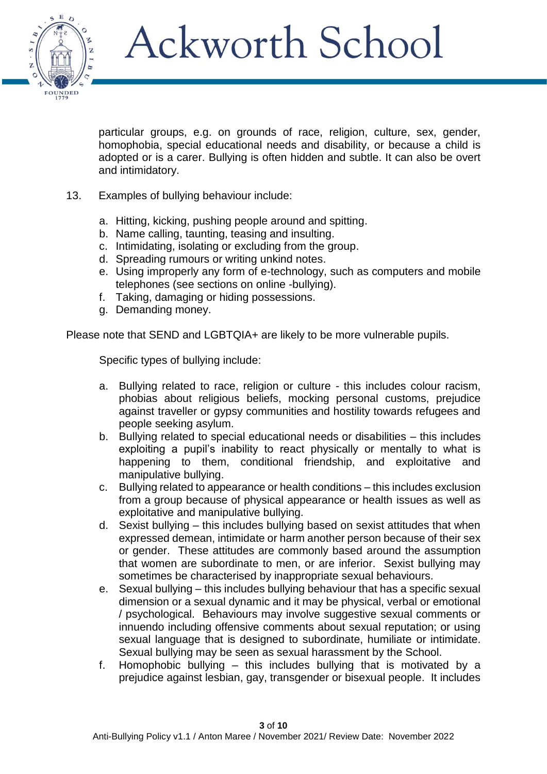

particular groups, e.g. on grounds of race, religion, culture, sex, gender, homophobia, special educational needs and disability, or because a child is adopted or is a carer. Bullying is often hidden and subtle. It can also be overt and intimidatory.

- 13. Examples of bullying behaviour include:
	- a. Hitting, kicking, pushing people around and spitting.
	- b. Name calling, taunting, teasing and insulting.
	- c. Intimidating, isolating or excluding from the group.
	- d. Spreading rumours or writing unkind notes.
	- e. Using improperly any form of e-technology, such as computers and mobile telephones (see sections on online -bullying).
	- f. Taking, damaging or hiding possessions.
	- g. Demanding money.

Please note that SEND and LGBTQIA+ are likely to be more vulnerable pupils.

Specific types of bullying include:

- a. Bullying related to race, religion or culture this includes colour racism, phobias about religious beliefs, mocking personal customs, prejudice against traveller or gypsy communities and hostility towards refugees and people seeking asylum.
- b. Bullying related to special educational needs or disabilities this includes exploiting a pupil's inability to react physically or mentally to what is happening to them, conditional friendship, and exploitative and manipulative bullying.
- c. Bullying related to appearance or health conditions this includes exclusion from a group because of physical appearance or health issues as well as exploitative and manipulative bullying.
- d. Sexist bullying this includes bullying based on sexist attitudes that when expressed demean, intimidate or harm another person because of their sex or gender. These attitudes are commonly based around the assumption that women are subordinate to men, or are inferior. Sexist bullying may sometimes be characterised by inappropriate sexual behaviours.
- e. Sexual bullying this includes bullying behaviour that has a specific sexual dimension or a sexual dynamic and it may be physical, verbal or emotional / psychological. Behaviours may involve suggestive sexual comments or innuendo including offensive comments about sexual reputation; or using sexual language that is designed to subordinate, humiliate or intimidate. Sexual bullying may be seen as sexual harassment by the School.
- f. Homophobic bullying this includes bullying that is motivated by a prejudice against lesbian, gay, transgender or bisexual people. It includes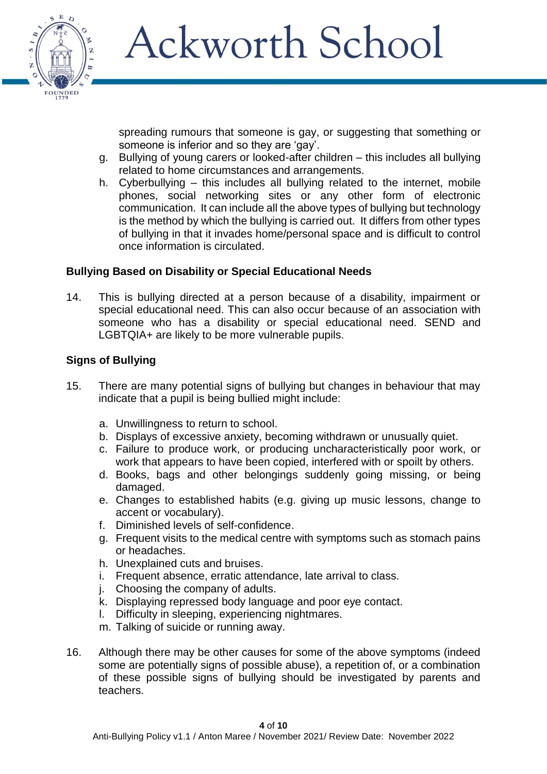

spreading rumours that someone is gay, or suggesting that something or someone is inferior and so they are 'gay'.

- g. Bullying of young carers or looked-after children this includes all bullying related to home circumstances and arrangements.
- h. Cyberbullying this includes all bullying related to the internet, mobile phones, social networking sites or any other form of electronic communication. It can include all the above types of bullying but technology is the method by which the bullying is carried out. It differs from other types of bullying in that it invades home/personal space and is difficult to control once information is circulated.

### **Bullying Based on Disability or Special Educational Needs**

14. This is bullying directed at a person because of a disability, impairment or special educational need. This can also occur because of an association with someone who has a disability or special educational need. SEND and LGBTQIA+ are likely to be more vulnerable pupils.

#### **Signs of Bullying**

- 15. There are many potential signs of bullying but changes in behaviour that may indicate that a pupil is being bullied might include:
	- a. Unwillingness to return to school.
	- b. Displays of excessive anxiety, becoming withdrawn or unusually quiet.
	- c. Failure to produce work, or producing uncharacteristically poor work, or work that appears to have been copied, interfered with or spoilt by others.
	- d. Books, bags and other belongings suddenly going missing, or being damaged.
	- e. Changes to established habits (e.g. giving up music lessons, change to accent or vocabulary).
	- f. Diminished levels of self-confidence.
	- g. Frequent visits to the medical centre with symptoms such as stomach pains or headaches.
	- h. Unexplained cuts and bruises.
	- i. Frequent absence, erratic attendance, late arrival to class.
	- j. Choosing the company of adults.
	- k. Displaying repressed body language and poor eye contact.
	- l. Difficulty in sleeping, experiencing nightmares.
	- m. Talking of suicide or running away.
- 16. Although there may be other causes for some of the above symptoms (indeed some are potentially signs of possible abuse), a repetition of, or a combination of these possible signs of bullying should be investigated by parents and teachers.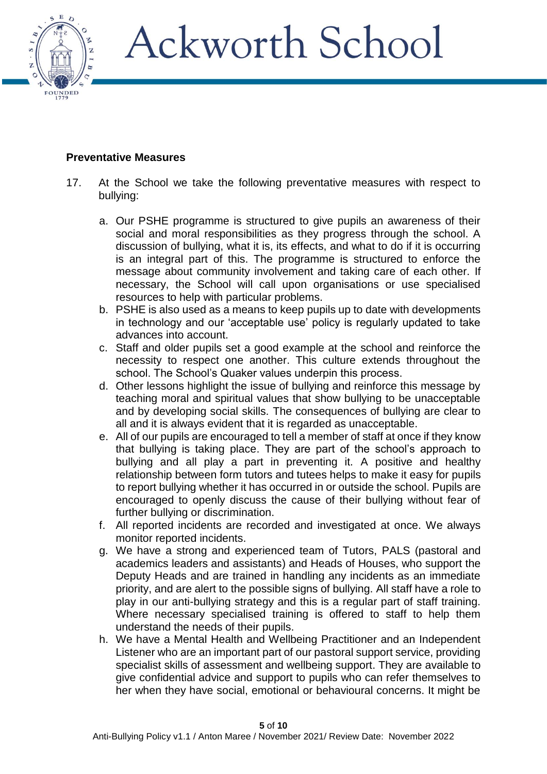

## **Preventative Measures**

- 17. At the School we take the following preventative measures with respect to bullying:
	- a. Our PSHE programme is structured to give pupils an awareness of their social and moral responsibilities as they progress through the school. A discussion of bullying, what it is, its effects, and what to do if it is occurring is an integral part of this. The programme is structured to enforce the message about community involvement and taking care of each other. If necessary, the School will call upon organisations or use specialised resources to help with particular problems.
	- b. PSHE is also used as a means to keep pupils up to date with developments in technology and our 'acceptable use' policy is regularly updated to take advances into account.
	- c. Staff and older pupils set a good example at the school and reinforce the necessity to respect one another. This culture extends throughout the school. The School's Quaker values underpin this process.
	- d. Other lessons highlight the issue of bullying and reinforce this message by teaching moral and spiritual values that show bullying to be unacceptable and by developing social skills. The consequences of bullying are clear to all and it is always evident that it is regarded as unacceptable.
	- e. All of our pupils are encouraged to tell a member of staff at once if they know that bullying is taking place. They are part of the school's approach to bullying and all play a part in preventing it. A positive and healthy relationship between form tutors and tutees helps to make it easy for pupils to report bullying whether it has occurred in or outside the school. Pupils are encouraged to openly discuss the cause of their bullying without fear of further bullying or discrimination.
	- f. All reported incidents are recorded and investigated at once. We always monitor reported incidents.
	- g. We have a strong and experienced team of Tutors, PALS (pastoral and academics leaders and assistants) and Heads of Houses, who support the Deputy Heads and are trained in handling any incidents as an immediate priority, and are alert to the possible signs of bullying. All staff have a role to play in our anti-bullying strategy and this is a regular part of staff training. Where necessary specialised training is offered to staff to help them understand the needs of their pupils.
	- h. We have a Mental Health and Wellbeing Practitioner and an Independent Listener who are an important part of our pastoral support service, providing specialist skills of assessment and wellbeing support. They are available to give confidential advice and support to pupils who can refer themselves to her when they have social, emotional or behavioural concerns. It might be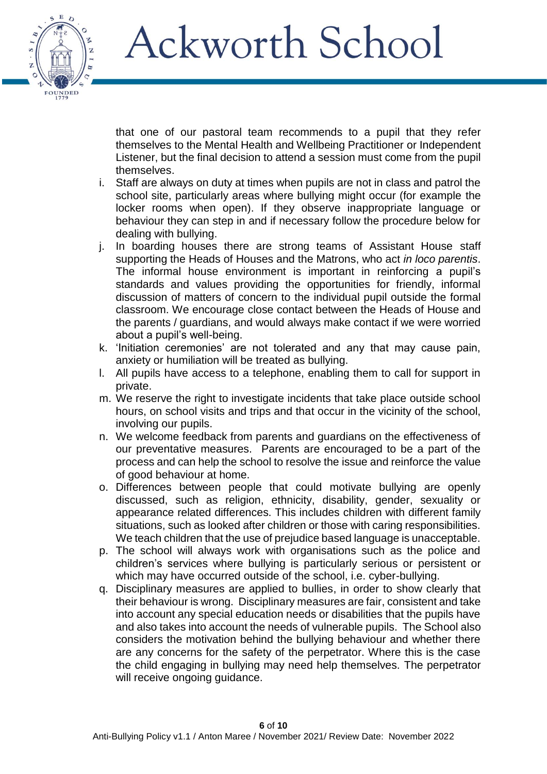

that one of our pastoral team recommends to a pupil that they refer themselves to the Mental Health and Wellbeing Practitioner or Independent Listener, but the final decision to attend a session must come from the pupil themselves.

- i. Staff are always on duty at times when pupils are not in class and patrol the school site, particularly areas where bullying might occur (for example the locker rooms when open). If they observe inappropriate language or behaviour they can step in and if necessary follow the procedure below for dealing with bullying.
- j. In boarding houses there are strong teams of Assistant House staff supporting the Heads of Houses and the Matrons, who act *in loco parentis*. The informal house environment is important in reinforcing a pupil's standards and values providing the opportunities for friendly, informal discussion of matters of concern to the individual pupil outside the formal classroom. We encourage close contact between the Heads of House and the parents / guardians, and would always make contact if we were worried about a pupil's well-being.
- k. 'Initiation ceremonies' are not tolerated and any that may cause pain, anxiety or humiliation will be treated as bullying.
- l. All pupils have access to a telephone, enabling them to call for support in private.
- m. We reserve the right to investigate incidents that take place outside school hours, on school visits and trips and that occur in the vicinity of the school, involving our pupils.
- n. We welcome feedback from parents and guardians on the effectiveness of our preventative measures. Parents are encouraged to be a part of the process and can help the school to resolve the issue and reinforce the value of good behaviour at home.
- o. Differences between people that could motivate bullying are openly discussed, such as religion, ethnicity, disability, gender, sexuality or appearance related differences. This includes children with different family situations, such as looked after children or those with caring responsibilities. We teach children that the use of prejudice based language is unacceptable.
- p. The school will always work with organisations such as the police and children's services where bullying is particularly serious or persistent or which may have occurred outside of the school, i.e. cyber-bullying.
- q. Disciplinary measures are applied to bullies, in order to show clearly that their behaviour is wrong. Disciplinary measures are fair, consistent and take into account any special education needs or disabilities that the pupils have and also takes into account the needs of vulnerable pupils. The School also considers the motivation behind the bullying behaviour and whether there are any concerns for the safety of the perpetrator. Where this is the case the child engaging in bullying may need help themselves. The perpetrator will receive ongoing guidance.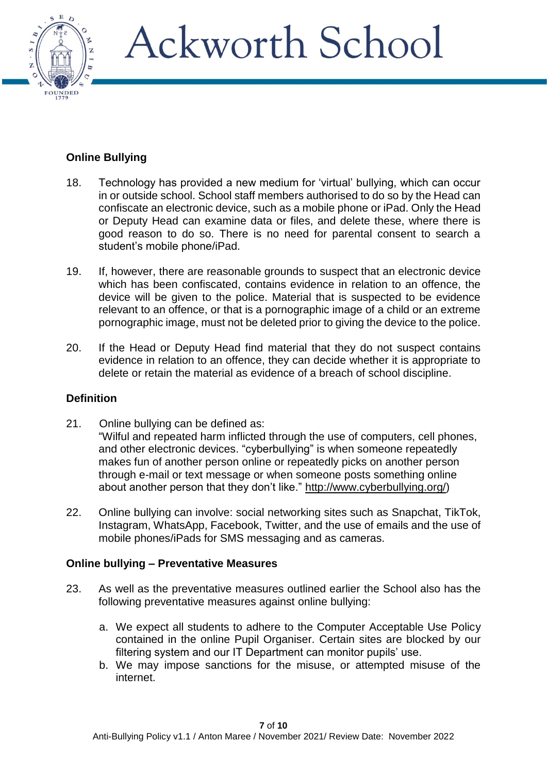

## **Online Bullying**

- 18. Technology has provided a new medium for 'virtual' bullying, which can occur in or outside school. School staff members authorised to do so by the Head can confiscate an electronic device, such as a mobile phone or iPad. Only the Head or Deputy Head can examine data or files, and delete these, where there is good reason to do so. There is no need for parental consent to search a student's mobile phone/iPad.
- 19. If, however, there are reasonable grounds to suspect that an electronic device which has been confiscated, contains evidence in relation to an offence, the device will be given to the police. Material that is suspected to be evidence relevant to an offence, or that is a pornographic image of a child or an extreme pornographic image, must not be deleted prior to giving the device to the police.
- 20. If the Head or Deputy Head find material that they do not suspect contains evidence in relation to an offence, they can decide whether it is appropriate to delete or retain the material as evidence of a breach of school discipline.

## **Definition**

- 21. Online bullying can be defined as: "Wilful and repeated harm inflicted through the use of computers, cell phones, and other electronic devices. "cyberbullying" is when someone repeatedly makes fun of another person online or repeatedly picks on another person through e-mail or text message or when someone posts something online about another person that they don't like." [http://www.cyberbullying.org/\)](http://www.cyberbullying.org/)
- 22. Online bullying can involve: social networking sites such as Snapchat, TikTok, Instagram, WhatsApp, Facebook, Twitter, and the use of emails and the use of mobile phones/iPads for SMS messaging and as cameras.

#### **Online bullying – Preventative Measures**

- 23. As well as the preventative measures outlined earlier the School also has the following preventative measures against online bullying:
	- a. We expect all students to adhere to the Computer Acceptable Use Policy contained in the online Pupil Organiser. Certain sites are blocked by our filtering system and our IT Department can monitor pupils' use.
	- b. We may impose sanctions for the misuse, or attempted misuse of the internet.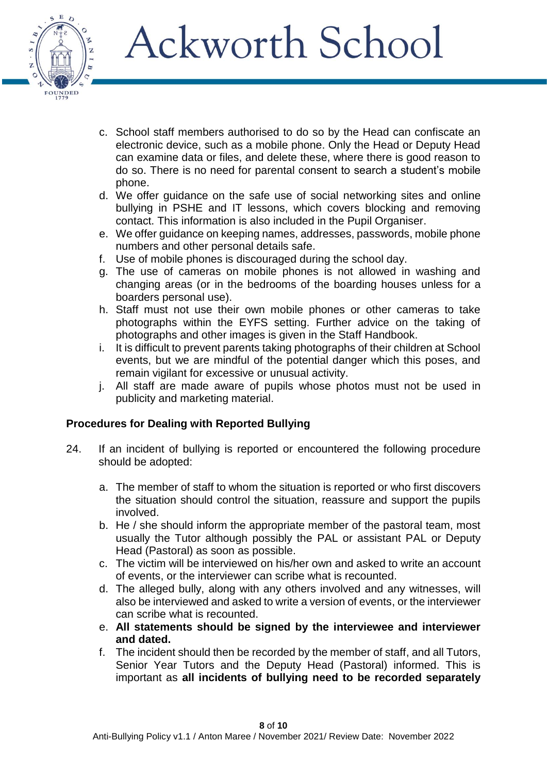

- c. School staff members authorised to do so by the Head can confiscate an electronic device, such as a mobile phone. Only the Head or Deputy Head can examine data or files, and delete these, where there is good reason to do so. There is no need for parental consent to search a student's mobile phone.
- d. We offer guidance on the safe use of social networking sites and online bullying in PSHE and IT lessons, which covers blocking and removing contact. This information is also included in the Pupil Organiser.
- e. We offer guidance on keeping names, addresses, passwords, mobile phone numbers and other personal details safe.
- f. Use of mobile phones is discouraged during the school day.
- g. The use of cameras on mobile phones is not allowed in washing and changing areas (or in the bedrooms of the boarding houses unless for a boarders personal use).
- h. Staff must not use their own mobile phones or other cameras to take photographs within the EYFS setting. Further advice on the taking of photographs and other images is given in the Staff Handbook.
- i. It is difficult to prevent parents taking photographs of their children at School events, but we are mindful of the potential danger which this poses, and remain vigilant for excessive or unusual activity.
- j. All staff are made aware of pupils whose photos must not be used in publicity and marketing material.

## **Procedures for Dealing with Reported Bullying**

- 24. If an incident of bullying is reported or encountered the following procedure should be adopted:
	- a. The member of staff to whom the situation is reported or who first discovers the situation should control the situation, reassure and support the pupils involved.
	- b. He / she should inform the appropriate member of the pastoral team, most usually the Tutor although possibly the PAL or assistant PAL or Deputy Head (Pastoral) as soon as possible.
	- c. The victim will be interviewed on his/her own and asked to write an account of events, or the interviewer can scribe what is recounted.
	- d. The alleged bully, along with any others involved and any witnesses, will also be interviewed and asked to write a version of events, or the interviewer can scribe what is recounted.
	- e. **All statements should be signed by the interviewee and interviewer and dated.**
	- f. The incident should then be recorded by the member of staff, and all Tutors, Senior Year Tutors and the Deputy Head (Pastoral) informed. This is important as **all incidents of bullying need to be recorded separately**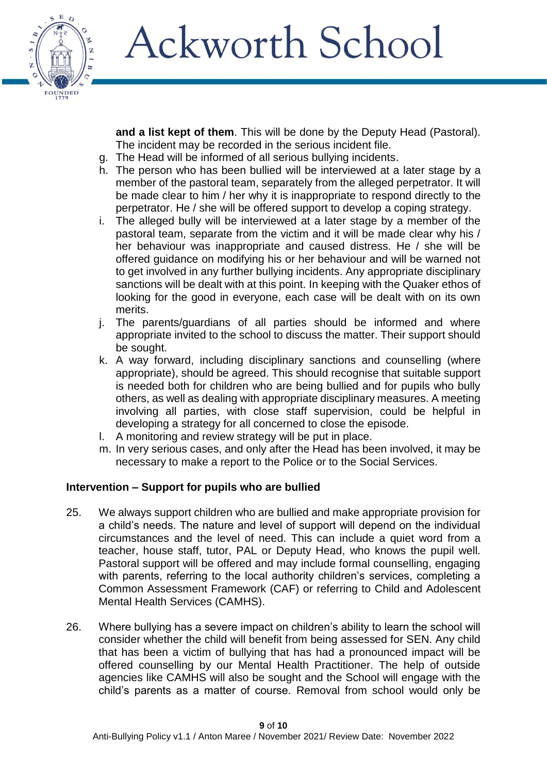

**and a list kept of them**. This will be done by the Deputy Head (Pastoral). The incident may be recorded in the serious incident file.

- g. The Head will be informed of all serious bullying incidents.
- h. The person who has been bullied will be interviewed at a later stage by a member of the pastoral team, separately from the alleged perpetrator. It will be made clear to him / her why it is inappropriate to respond directly to the perpetrator. He / she will be offered support to develop a coping strategy.
- i. The alleged bully will be interviewed at a later stage by a member of the pastoral team, separate from the victim and it will be made clear why his / her behaviour was inappropriate and caused distress. He / she will be offered guidance on modifying his or her behaviour and will be warned not to get involved in any further bullying incidents. Any appropriate disciplinary sanctions will be dealt with at this point. In keeping with the Quaker ethos of looking for the good in everyone, each case will be dealt with on its own merits.
- j. The parents/guardians of all parties should be informed and where appropriate invited to the school to discuss the matter. Their support should be sought.
- k. A way forward, including disciplinary sanctions and counselling (where appropriate), should be agreed. This should recognise that suitable support is needed both for children who are being bullied and for pupils who bully others, as well as dealing with appropriate disciplinary measures. A meeting involving all parties, with close staff supervision, could be helpful in developing a strategy for all concerned to close the episode.
- l. A monitoring and review strategy will be put in place.
- m. In very serious cases, and only after the Head has been involved, it may be necessary to make a report to the Police or to the Social Services.

## **Intervention – Support for pupils who are bullied**

- 25. We always support children who are bullied and make appropriate provision for a child's needs. The nature and level of support will depend on the individual circumstances and the level of need. This can include a quiet word from a teacher, house staff, tutor, PAL or Deputy Head, who knows the pupil well. Pastoral support will be offered and may include formal counselling, engaging with parents, referring to the local authority children's services, completing a Common Assessment Framework (CAF) or referring to Child and Adolescent Mental Health Services (CAMHS).
- 26. Where bullying has a severe impact on children's ability to learn the school will consider whether the child will benefit from being assessed for SEN. Any child that has been a victim of bullying that has had a pronounced impact will be offered counselling by our Mental Health Practitioner. The help of outside agencies like CAMHS will also be sought and the School will engage with the child's parents as a matter of course. Removal from school would only be